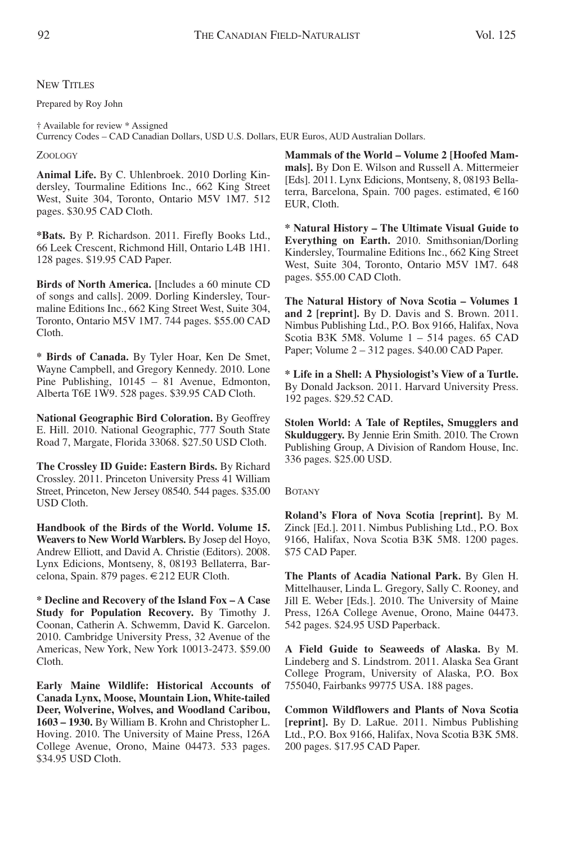Prepared by Roy John

† Available for review \* Assigned

Currency Codes – CAD Canadian Dollars, USD U.S. Dollars, EUR Euros, AUD Australian Dollars.

## ZOOLOGY

**Animal Life.** By C. Uhlenbroek. 2010 Dorling Kindersley, Tourmaline Editions Inc., 662 King Street West, Suite 304, Toronto, Ontario M5V 1M7. 512 pages. \$30.95 CAD Cloth.

**\*Bats.** By P. Richardson. 2011. Firefly Books Ltd., 66 Leek Crescent, Richmond Hill, Ontario L4B 1H1. 128 pages. \$19.95 CAD Paper.

**Birds of North America.** [Includes a 60 minute CD of songs and calls]. 2009. Dorling Kindersley, Tourmaline Editions Inc., 662 King Street West, Suite 304, Toronto, Ontario M5V 1M7. 744 pages. \$55.00 CAD Cloth.

**\* Birds of Canada.** By Tyler Hoar, Ken De Smet, Wayne Campbell, and Gregory Kennedy. 2010. Lone Pine Publishing, 10145 – 81 Avenue, Edmonton, Alberta T6E 1W9. 528 pages. \$39.95 CAD Cloth.

**National Geographic Bird Coloration.** By Geoffrey E. Hill. 2010. National Geographic, 777 South State Road 7, Margate, Florida 33068. \$27.50 USD Cloth.

**The Crossley ID Guide: Eastern Birds.** By Richard Crossley. 2011. Princeton University Press 41 William Street, Princeton, New Jersey 08540. 544 pages. \$35.00 USD Cloth.

**Handbook of the Birds of the World. Volume 15. Weavers to New World Warblers.** By Josep del Hoyo, Andrew Elliott, and David A. Christie (Editors). 2008. Lynx Edicions, Montseny, 8, 08193 Bellaterra, Barcelona, Spain. 879 pages. €212 EUR Cloth.

**\* Decline and Recovery of the Island Fox – A Case Study for Population Recovery.** By Timothy J. Coonan, Catherin A. Schwemm, David K. Garcelon. 2010. Cambridge University Press, 32 Avenue of the Americas, New York, New York 10013-2473. \$59.00 Cloth.

**Early Maine Wildlife: Historical Accounts of Canada Lynx, Moose, Mountain Lion, White-tailed Deer, Wolverine, Wolves, and Woodland Caribou, 1603 – 1930.** By William B. Krohn and Christopher L. Hoving. 2010. The University of Maine Press, 126A College Avenue, Orono, Maine 04473. 533 pages. \$34.95 USD Cloth.

**Mammals of the World – Volume 2 [Hoofed Mammals].** By Don E. Wilson and Russell A. Mittermeier [Eds]. 2011. Lynx Edicions, Montseny, 8, 08193 Bellaterra, Barcelona, Spain. 700 pages. estimated, €160 EUR, Cloth.

**\* Natural History – The Ultimate Visual Guide to Everything on Earth.** 2010. Smithsonian/Dorling Kindersley, Tourmaline Editions Inc., 662 King Street West, Suite 304, Toronto, Ontario M5V 1M7. 648 pages. \$55.00 CAD Cloth.

**The Natural History of Nova Scotia – Volumes 1 and 2 [reprint].** By D. Davis and S. Brown. 2011. Nimbus Publishing Ltd., P.O. Box 9166, Halifax, Nova Scotia B3K 5M8. Volume 1 – 514 pages. 65 CAD Paper; Volume 2 – 312 pages. \$40.00 CAD Paper.

**\* Life in a Shell: A Physiologist's View of a Turtle.** By Donald Jackson. 2011. Harvard University Press. 192 pages. \$29.52 CAD.

**Stolen World: A Tale of Reptiles, Smugglers and Skulduggery.** By Jennie Erin Smith. 2010. The Crown Publishing Group, A Division of Random House, Inc. 336 pages. \$25.00 USD.

## BOTANY

**Roland's Flora of Nova Scotia [reprint].** By M. Zinck [Ed.]. 2011. Nimbus Publishing Ltd., P.O. Box 9166, Halifax, Nova Scotia B3K 5M8. 1200 pages. \$75 CAD Paper.

**The Plants of Acadia National Park.** By Glen H. Mittelhauser, Linda L. Gregory, Sally C. Rooney, and Jill E. Weber [Eds.]. 2010. The University of Maine Press, 126A College Avenue, Orono, Maine 04473. 542 pages. \$24.95 USD Paperback.

**A Field Guide to Seaweeds of Alaska.** By M. Lindeberg and S. Lindstrom. 2011. Alaska Sea Grant College Program, University of Alaska, P.O. Box 755040, Fairbanks 99775 USA. 188 pages.

**Common Wildflowers and Plants of Nova Scotia [reprint].** By D. LaRue. 2011. Nimbus Publishing Ltd., P.O. Box 9166, Halifax, Nova Scotia B3K 5M8. 200 pages. \$17.95 CAD Paper.